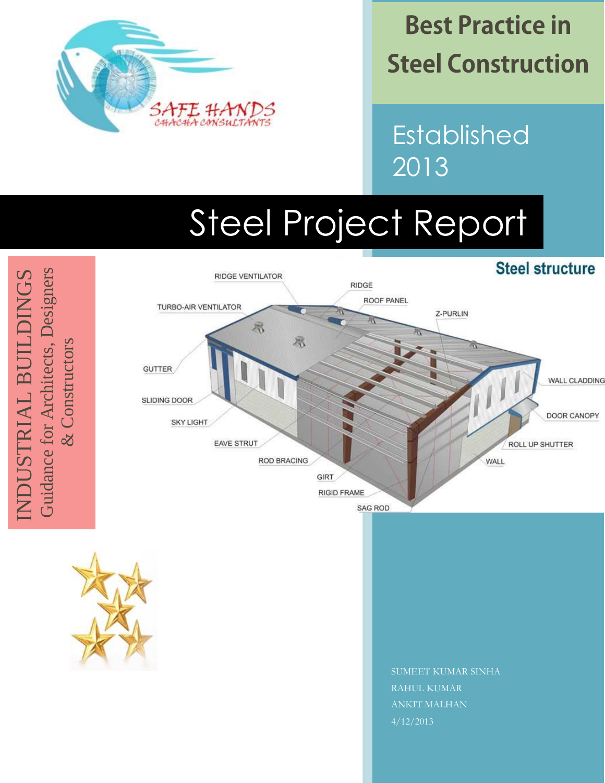

**Best Practice in Steel Construction** 

Established 2013

# Steel Project Report

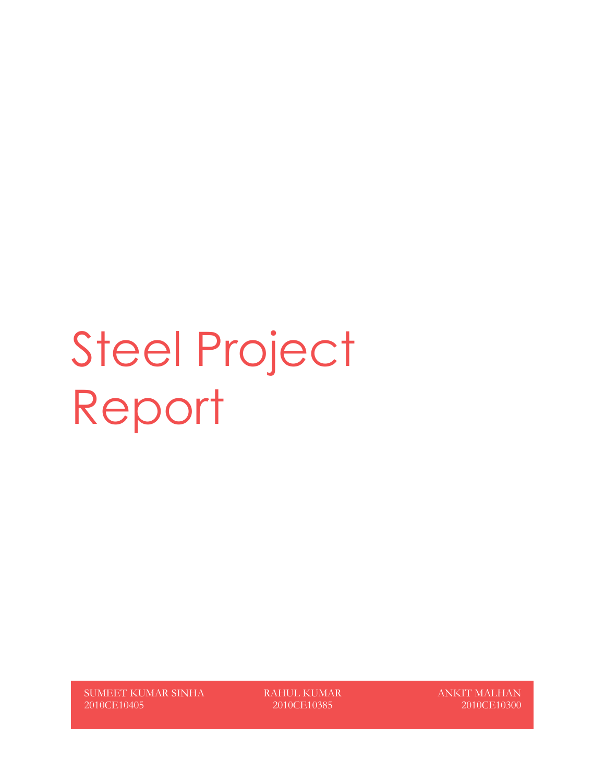# Steel Project Report

SUMEET KUMAR SINHA 2010CE10405

RAHUL KUMAR 2010CE10385

ANKIT MALHAN 2010CE10300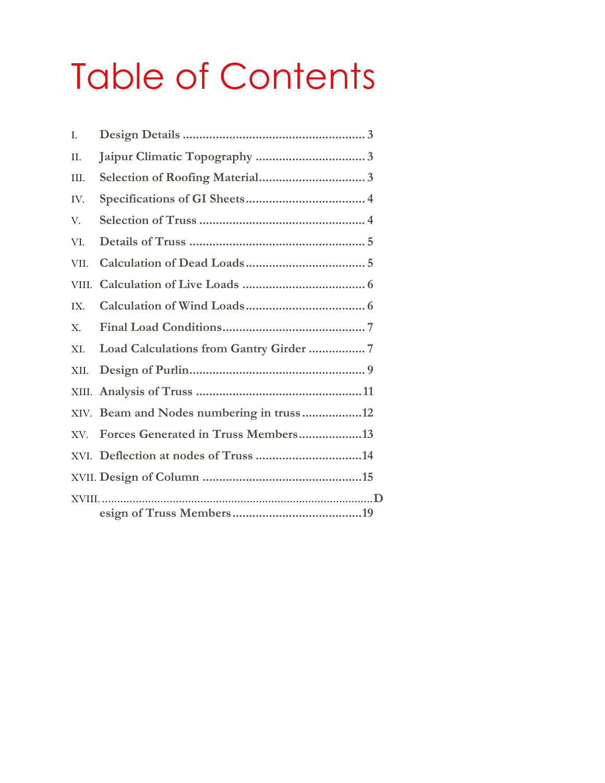## Table of Contents

| T.      |                                          |
|---------|------------------------------------------|
| П.      |                                          |
| III.    |                                          |
| IV.     |                                          |
| V.      |                                          |
| VI.     |                                          |
| VII.    |                                          |
| VIII.   |                                          |
| IX.     |                                          |
| X.      |                                          |
| XI.     |                                          |
| XII.    |                                          |
|         |                                          |
|         | XIV. Beam and Nodes numbering in truss12 |
| XV.     | Forces Generated in Truss Members13      |
|         |                                          |
|         |                                          |
| $XVIII$ |                                          |
|         |                                          |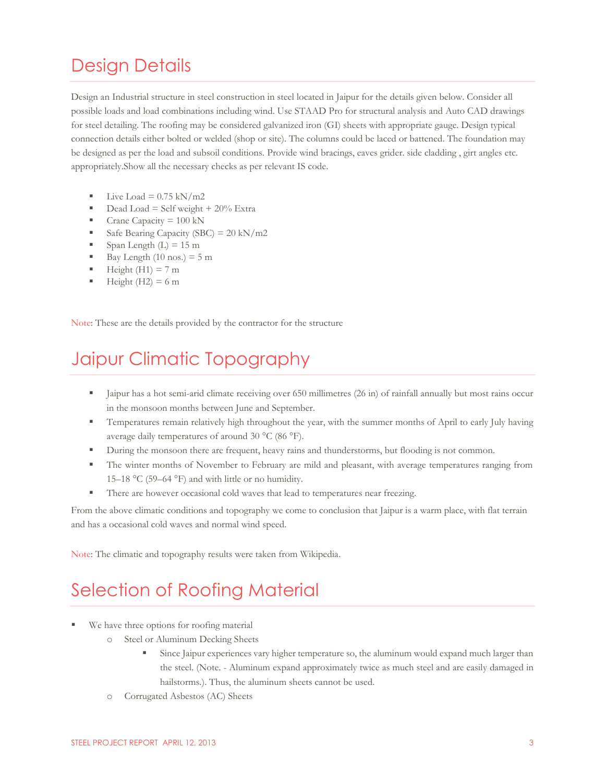### <span id="page-3-0"></span>Design Details

Design an Industrial structure in steel construction in steel located in Jaipur for the details given below. Consider all possible loads and load combinations including wind. Use STAAD Pro for structural analysis and Auto CAD drawings for steel detailing. The roofing may be considered galvanized iron (GI) sheets with appropriate gauge. Design typical connection details either bolted or welded (shop or site). The columns could be laced or battened. The foundation may be designed as per the load and subsoil conditions. Provide wind bracings, eaves grider. side cladding , girt angles etc. appropriately.Show all the necessary checks as per relevant IS code.

- Live Load  $= 0.75$  kN/m2
- Dead Load = Self weight  $+20\%$  Extra
- Crane Capacity = 100 kN
- Safe Bearing Capacity (SBC) =  $20 \text{ kN/m2}$
- Span Length  $(L) = 15$  m
- Bay Length  $(10 \text{ nos.}) = 5 \text{ m}$
- $\blacksquare$  Height (H1) = 7 m
- $\blacksquare$  Height (H2) = 6 m

Note: These are the details provided by the contractor for the structure

### <span id="page-3-1"></span>Jaipur Climatic Topography

- Jaipur has a [hot semi-arid climate](http://en.wikipedia.org/wiki/Hot_semi-arid_climate) receiving over 650 millimetres (26 in) of rainfall annually but most rains occur in the monsoon months between June and September.
- Temperatures remain relatively high throughout the year, with the summer months of April to early July having average daily temperatures of around 30 °C (86 °F).
- **During the monsoon there are frequent, heavy rains and thunderstorms, but flooding is not common.**
- The winter months of November to February are mild and pleasant, with average temperatures ranging from 15–18 °C (59–64 °F) and with little or no humidity.
- **There are however occasional cold waves that lead to temperatures near freezing.**

From the above climatic conditions and topography we come to conclusion that Jaipur is a warm place, with flat terrain and has a occasional cold waves and normal wind speed.

Note: The climatic and topography results were taken from Wikipedia.

### <span id="page-3-2"></span>Selection of Roofing Material

- We have three options for roofing material
	- o Steel or Aluminum Decking Sheets
		- Since Jaipur experiences vary higher temperature so, the aluminum would expand much larger than the steel. (Note. - Aluminum expand approximately twice as much steel and are easily damaged in hailstorms.). Thus, the aluminum sheets cannot be used.
	- o Corrugated Asbestos (AC) Sheets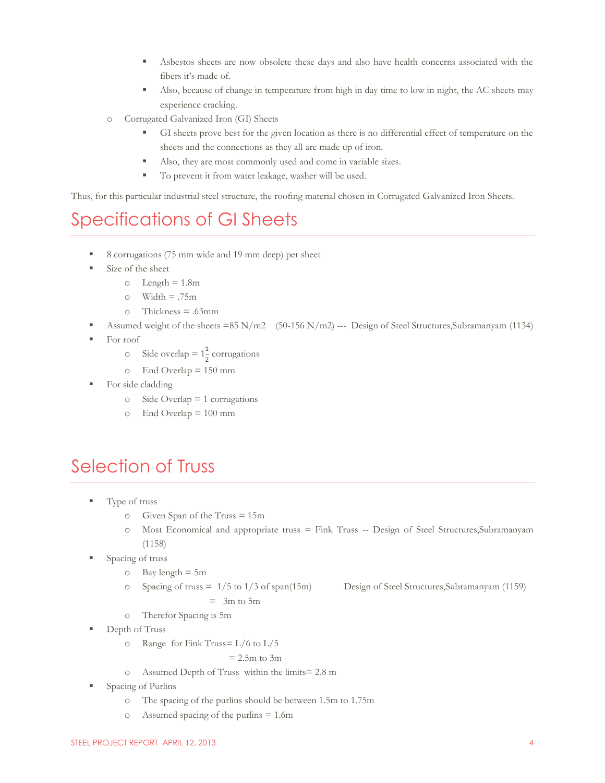- Asbestos sheets are now obsolete these days and also have health concerns associated with the fibers it's made of.
- Also, because of change in temperature from high in day time to low in night, the AC sheets may experience cracking.
- o Corrugated Galvanized Iron (GI) Sheets
	- GI sheets prove best for the given location as there is no differential effect of temperature on the sheets and the connections as they all are made up of iron.
	- Also, they are most commonly used and come in variable sizes.
	- To prevent it from water leakage, washer will be used.

Thus, for this particular industrial steel structure, the roofing material chosen in Corrugated Galvanized Iron Sheets.

### <span id="page-4-0"></span>Specifications of GI Sheets

- 8 corrugations (75 mm wide and 19 mm deep) per sheet
- $\blacksquare$  Size of the sheet
	- $\circ$  Length = 1.8m
	- $\circ$  Width = .75m
	- o Thickness = .63mm
	- Assumed weight of the sheets =85 N/m2 (50-156 N/m2) --- Design of Steel Structures,Subramanyam (1134)
- For roof
	- $\circ$  Side overlap =  $1\frac{1}{2}$  corrugations
	- o End Overlap = 150 mm
- For side cladding
	- o Side Overlap = 1 corrugations
	- $\degree$  End Overlap = 100 mm

### <span id="page-4-1"></span>Selection of Truss

- Type of truss
	- o Given Span of the Truss = 15m
	- o Most Economical and appropriate truss = Fink Truss -- Design of Steel Structures,Subramanyam (1158)
- Spacing of truss
	- $\circ$  Bay length = 5m
	- o Spacing of truss = 1/5 to 1/3 of span(15m) Design of Steel Structures,Subramanyam (1159)  $=$  3m to 5m
	- o Therefor Spacing is 5m
- Depth of Truss
	- $\circ$  Range for Fink Truss=  $L/6$  to  $L/5$

#### $= 2.5$ m to 3m

- o Assumed Depth of Truss within the limits= 2.8 m
- **Spacing of Purlins** 
	- o The spacing of the purlins should be between 1.5m to 1.75m
	- o Assumed spacing of the purlins  $= 1.6$ m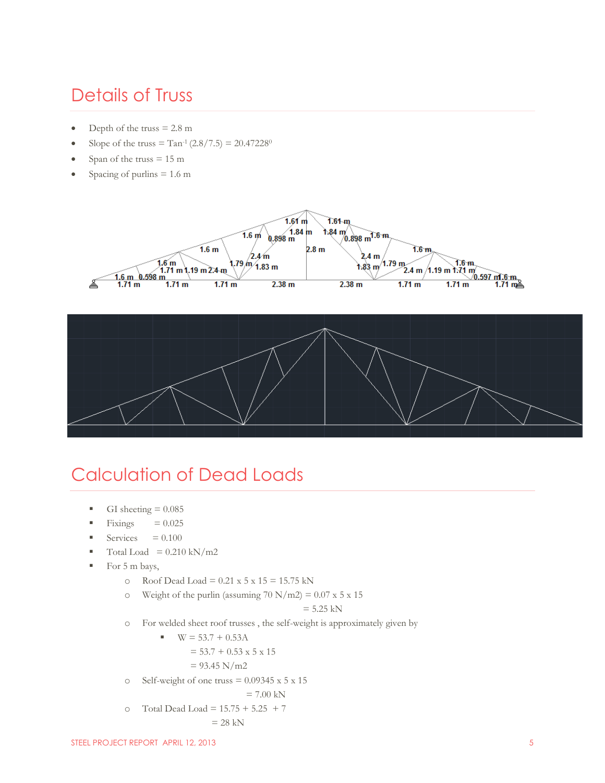### <span id="page-5-0"></span>Details of Truss

- Depth of the truss  $= 2.8$  m
- Slope of the truss =  $Tan^{-1}(2.8/7.5) = 20.47228^{\circ}$
- Span of the truss  $= 15 \text{ m}$
- Spacing of purlins  $= 1.6$  m





### <span id="page-5-1"></span>Calculation of Dead Loads

- GI sheeting  $= 0.085$
- Fixings  $= 0.025$
- Services  $= 0.100$
- $\blacksquare$  Total Load = 0.210 kN/m2
- For 5 m bays,
	- o Roof Dead Load =  $0.21 \times 5 \times 15 = 15.75 \text{ kN}$
	- $\degree$  Weight of the purlin (assuming 70 N/m2) = 0.07 x 5 x 15

$$
= 5.25 \text{ kN}
$$

o For welded sheet roof trusses , the self-weight is approximately given by

$$
\bullet \quad \text{W} = 53.7 + 0.53 \text{A}
$$

$$
= 53.7 + 0.53 \times 5 \times 15
$$

$$
= 93.45 \text{ N/m2}
$$

o Self-weight of one truss  $= 0.09345 \times 5 \times 15$ 

$$
= 7.00 \text{ kN}
$$

o Total Dead Load =  $15.75 + 5.25 + 7$ 

 $= 28$  kN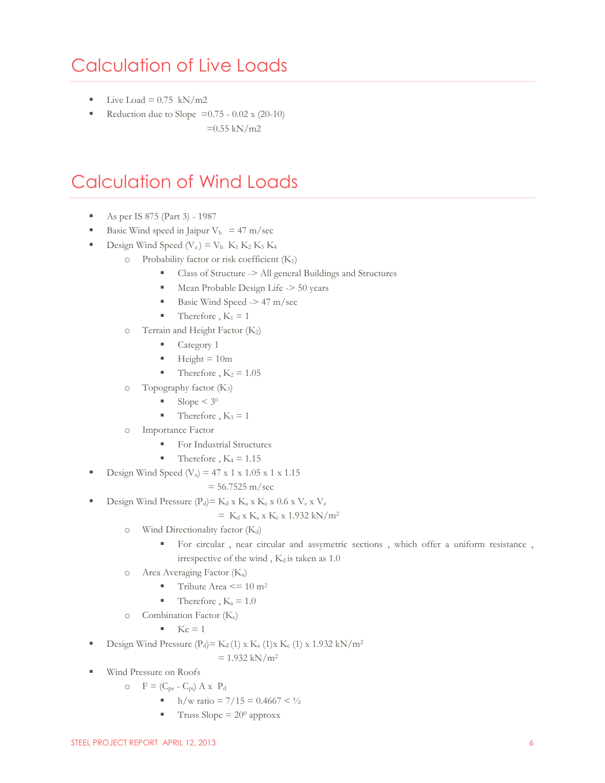### <span id="page-6-0"></span>Calculation of Live Loads

- Live Load =  $0.75$  kN/m2
- Reduction due to Slope =  $0.75 0.02 \times (20-10)$ 
	- $=0.55$  kN/m2

### <span id="page-6-1"></span>Calculation of Wind Loads

- As per IS 875 (Part 3) 1987
- Basic Wind speed in Jaipur  $V_b$  = 47 m/sec
- Design Wind Speed  $(V_z) = V_b$  K<sub>1</sub> K<sub>2</sub> K<sub>3</sub> K<sub>4</sub>
	- o Probability factor or risk coefficient (K1)
		- Class of Structure -> All general Buildings and Structures
		- Mean Probable Design Life -> 50 years
		- Basic Wind Speed  $\geq$  47 m/sec
		- Therefore ,  $K_1 = 1$
	- o Terrain and Height Factor (K2)
		- Category 1
		- $Height = 10m$
		- Therefore ,  $K_2 = 1.05$
	- $\circ$  Topography factor (K<sub>3</sub>)
		- $\blacksquare$  Slope < 3<sup>0</sup>
		- Therefore ,  $K_3 = 1$
	- o Importance Factor
		- For Industrial Structures
		- Therefore ,  $K_4 = 1.15$
- Design Wind Speed  $(V_z) = 47 \times 1 \times 1.05 \times 1 \times 1.15$

 $= 56.7525$  m/sec

Design Wind Pressure  $(P_d) = K_d x K_a x K_c x 0.6 x V_z x V_z$ 

$$
= K_d \times K_a \times K_c \times 1.932 \text{ kN/m}^2
$$

- $\circ$  Wind Directionality factor (K<sub>d</sub>)
	- For circular , near circular and assymetric sections , which offer a uniform resistance , irrespective of the wind,  $K_d$  is taken as 1.0
- o Area Averaging Factor (Ka)
	- Tribute Area  $\leq$  = 10 m<sup>2</sup>
	- Therefore ,  $K_a = 1.0$
- o Combination Factor (Kc)
	- $Kc = 1$
- Design Wind Pressure  $(P_d) = K_d (1) \times K_a (1) \times K_c (1) \times 1.932 \text{ kN/m}^2$

 $= 1.932$  kN/m<sup>2</sup>

- Wind Pressure on Roofs
	- $\circ$  F = (C<sub>pe</sub> C<sub>pi</sub>) A x P<sub>d</sub>
		- h/w ratio =  $7/15 = 0.4667 < \frac{1}{2}$
		- $\blacksquare$  Truss Slope = 20<sup>0</sup> approxx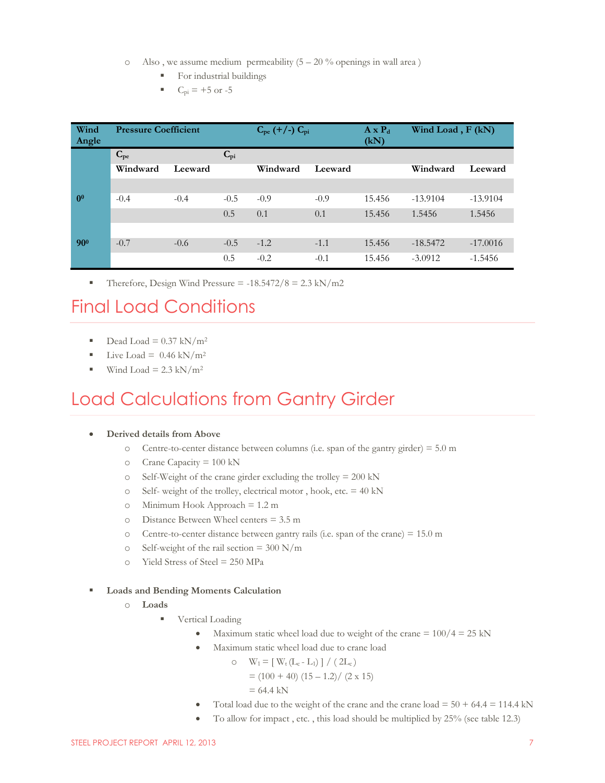- $\circ$  Also, we assume medium permeability (5 20 % openings in wall area)
	- For industrial buildings
	- $C_{\text{pi}} = +5 \text{ or } -5$

| Wind<br>Angle  | <b>Pressure Coefficient</b> |         |              | $C_{pe}$ (+/-) $C_{pi}$ |         | $A \times P_d$<br>(kN) | Wind Load, F (kN) |            |
|----------------|-----------------------------|---------|--------------|-------------------------|---------|------------------------|-------------------|------------|
|                | $C_{pe}$                    |         | $C_{\rm pi}$ |                         |         |                        |                   |            |
|                | Windward                    | Leeward |              | Windward                | Leeward |                        | Windward          | Leeward    |
|                |                             |         |              |                         |         |                        |                   |            |
| 0 <sup>0</sup> | $-0.4$                      | $-0.4$  | $-0.5$       | $-0.9$                  | $-0.9$  | 15.456                 | $-13.9104$        | $-13.9104$ |
|                |                             |         | 0.5          | 0.1                     | 0.1     | 15.456                 | 1.5456            | 1.5456     |
|                |                             |         |              |                         |         |                        |                   |            |
| $90^{o}$       | $-0.7$                      | $-0.6$  | $-0.5$       | $-1.2$                  | $-1.1$  | 15.456                 | $-18.5472$        | $-17.0016$ |
|                |                             |         | 0.5          | $-0.2$                  | $-0.1$  | 15.456                 | $-3.0912$         | $-1.5456$  |

Therefore, Design Wind Pressure =  $-18.5472/8 = 2.3$  kN/m2

### <span id="page-7-0"></span>Final Load Conditions

- Dead Load =  $0.37 \text{ kN/m}^2$
- Live Load =  $0.46 \text{ kN/m}^2$
- Wind Load =  $2.3 \text{ kN/m}^2$

### <span id="page-7-1"></span>Load Calculations from Gantry Girder

#### **Derived details from Above**

- o Centre-to-center distance between columns (i.e. span of the gantry girder) =  $5.0 \text{ m}$
- o Crane Capacity = 100 kN
- o Self-Weight of the crane girder excluding the trolley = 200 kN
- $\circ$  Self- weight of the trolley, electrical motor, hook, etc. = 40 kN
- o Minimum Hook Approach = 1.2 m
- o Distance Between Wheel centers = 3.5 m
- o Centre-to-center distance between gantry rails (i.e. span of the crane) = 15.0 m
- o Self-weight of the rail section =  $300 \text{ N/m}$
- $\circ$  Yield Stress of Steel = 250 MPa

#### **Loads and Bending Moments Calculation**

- o **Loads**
	- Vertical Loading
		- Maximum static wheel load due to weight of the crane  $= 100/4 = 25$  kN
		- Maximum static wheel load due to crane load

 $\circ$  W<sub>1</sub> = [ W<sub>t</sub> (L<sub>c</sub> - L<sub>1</sub>) ] / ( 2L<sub>c</sub>)  $=(100 + 40) (15 - 1.2) / (2 \times 15)$  $= 64.4$  kN

- Total load due to the weight of the crane and the crane load  $= 50 + 64.4 = 114.4$  kN
- To allow for impact , etc. , this load should be multiplied by 25% (see table 12.3)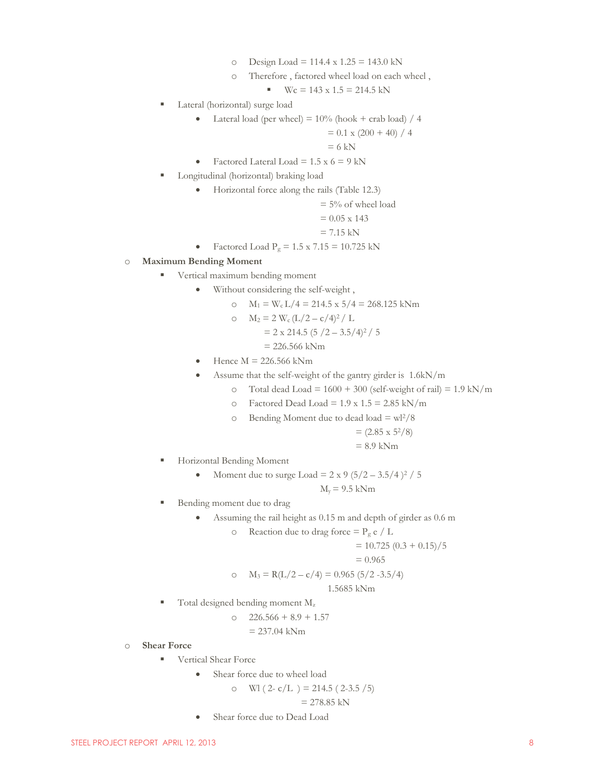- o Design Load = 114.4 x  $1.25 = 143.0$  kN
- o Therefore , factored wheel load on each wheel ,

$$
Wc = 143 \times 1.5 = 214.5 \text{ kN}
$$

- Lateral (horizontal) surge load
	- Lateral load (per wheel) =  $10\%$  (hook + crab load) / 4

$$
= 0.1 \times (200 + 40) / 4
$$

 $= 6$  kN

- Factored Lateral Load =  $1.5 \times 6 = 9$  kN
- Longitudinal (horizontal) braking load
	- Horizontal force along the rails (Table 12.3)

$$
= 5\%
$$
 of wheel load

$$
= 0.05 \times 143
$$

$$
= 7.15 \text{ kN}
$$

$$
\bullet \quad \text{Factored Load } P_g = 1.5 \times 7.15 = 10.725 \text{ kN}
$$

#### o **Maximum Bending Moment**

- **vertical maximum bending moment** 
	- Without considering the self-weight ,
		- o  $M_1 = W_c L/4 = 214.5 x 5/4 = 268.125 kNm$

$$
M_2 = 2 W_c (L/2 - c/4)^2 / L
$$

$$
= 2 \times 214.5 (5 / 2 - 3.5 / 4)^2 / 5
$$

- $= 226.566$  kNm
- $\bullet$  Hence M = 226.566 kNm
- Assume that the self-weight of the gantry girder is 1.6kN/m
	- o Total dead Load =  $1600 + 300$  (self-weight of rail) =  $1.9 \text{ kN/m}$ 
		- $\circ$  Factored Dead Load = 1.9 x 1.5 = 2.85 kN/m
		- $\circ$  Bending Moment due to dead load = wl<sup>2</sup>/8

$$
= (2.85 \times 5^2/8)
$$
  
= 8.9 kNm

- **Horizontal Bending Moment** 
	- Moment due to surge Load =  $2 \times 9 (5/2 3.5/4)^2 / 5$

 $M_v = 9.5$  kNm

- Bending moment due to drag
	- Assuming the rail height as 0.15 m and depth of girder as 0.6 m
		- $\circ$  Reaction due to drag force = P<sub>g</sub> e / L

$$
= 10.725 (0.3 + 0.15)/5
$$

$$
= 0.965
$$

$$
M_3 = R(L/2 - c/4) = 0.965 (5/2 - 3.5/4)
$$

$$
1.5685 \; \mathrm{kNm}
$$

- $\blacksquare$  Total designed bending moment  $M_z$ 
	- $\Omega$  226.566 + 8.9 + 1.57

$$
= 237.04 \text{ kNm}
$$

#### o **Shear Force**

- **Vertical Shear Force** 
	- Shear force due to wheel load

$$
\text{o} \quad \text{WI} \left( \, 2 - \frac{c}{L} \, \right) = 214.5 \, \left( \, 2 - 3.5 \, / \, 5 \right)
$$

$$
= 278.85 \text{ kN}
$$

Shear force due to Dead Load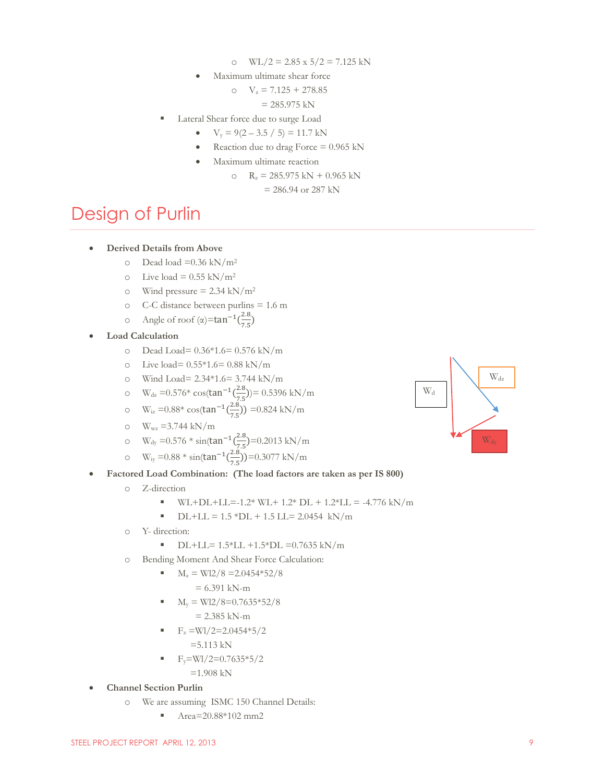- o WL/2 =  $2.85 \times 5/2 = 7.125 \text{ kN}$
- Maximum ultimate shear force

o  $V_z = 7.125 + 278.85$ 

 $= 285.975$  kN

- Lateral Shear force due to surge Load
	- $V_y = 9(2 3.5 / 5) = 11.7$  kN
	- Reaction due to drag Force  $= 0.965$  kN
	- Maximum ultimate reaction
		- o  $R_z = 285.975$  kN + 0.965 kN

 $= 286.94$  or 287 kN

### <span id="page-9-0"></span>Design of Purlin

#### **Derived Details from Above**

- $\degree$  Dead load =0.36 kN/m<sup>2</sup>
- o Live load =  $0.55 \text{ kN/m}^2$
- o Wind pressure =  $2.34 \text{ kN/m}^2$
- o C-C distance between purlins = 1.6 m
- o Angle of roof (α)= $tan^{-1}(\frac{2}{\pi})$  $\frac{2.8}{7.5}$
- **Load Calculation**
	- o Dead Load= 0.36\*1.6= 0.576 kN/m
	- o Live load=  $0.55*1.6= 0.88 \text{ kN/m}$
	- o Wind Load=  $2.34*1.6 = 3.744 \text{ kN/m}$
	- o W<sub>dz</sub> =  $0.576*$  cos(tan<sup>-1</sup>( $\frac{2}{7}$ )  $\frac{2.8}{7.5}$ ))= 0.5396 kN/m
	- $\text{W}_{\text{iz}} = 0.88* \cos(\tan^{-1}(\frac{2}{7}))$  $\frac{2.8}{7.5}$ ) = 0.824 kN/m
	- $\text{o}$  W<sub>wz</sub> = 3.744 kN/m
	- o W<sub>dy</sub> = 0.576  $* \sin(\tan^{-1}(\frac{2}{7}))$  $\frac{2.8}{7.5}$ =0.2013 kN/m
	- o W<sub>iy</sub> = 0.88  $*$  sin(tan<sup>-1</sup>( $\frac{2}{7}$ )  $\frac{2.8}{7.5})$ )=0.3077 kN/m
- **Factored Load Combination: (The load factors are taken as per IS 800)**
	- o Z-direction
		- $W_L+DL+LL=-1.2* W_L+1.2* DL+1.2*LL = -4.776 kN/m$
		- $\blacksquare$  DL+LL = 1.5 \*DL + 1.5 LL= 2.0454 kN/m
	- o Y- direction:
		- $\blacksquare$ DL+LL= 1.5\*LL +1.5\*DL =0.7635 kN/m
	- o Bending Moment And Shear Force Calculation:
		- $M_z = W12/8 = 2.0454*52/8$ 
			- $= 6.391$  kN-m
		- $M_v = W12/8 = 0.7635*52/8$  $= 2.385$  kN-m
		- $F_z = W1/2 = 2.0454*5/2$

 $=5.113$  kN

 $F_v=$ Wl/2=0.7635\*5/2

 $=1.908$  kN

- **Channel Section Purlin**
	- o We are assuming ISMC 150 Channel Details:
		- $Area=20.88*102$  mm2

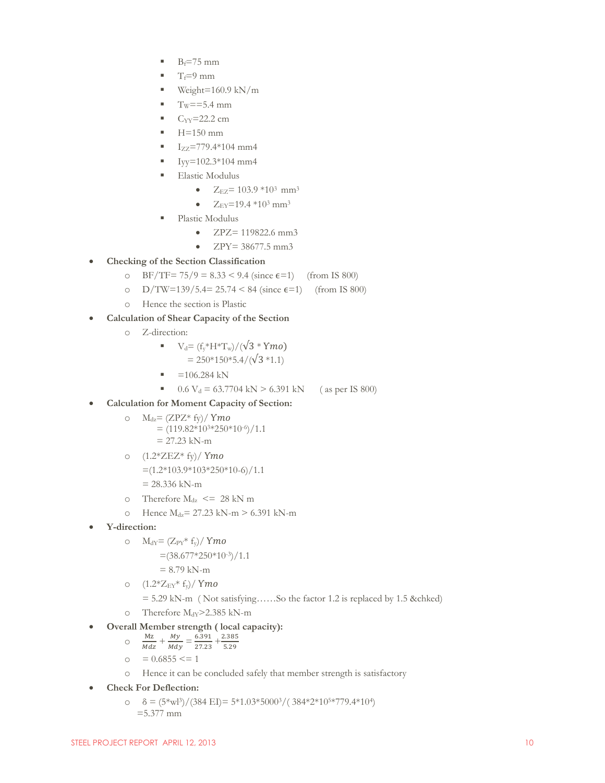- $B_f = 75$  mm
- $T_f=9$  mm
- $\blacksquare$  Weight=160.9 kN/m
- $T_w = 5.4$  mm
- $C_{YY} = 22.2$  cm
- $H=150$  mm
- $I_{ZZ}$ =779.4\*104 mm4
- $I_{yy}=102.3*104$  mm4
- Elastic Modulus
	- $\bullet$   $Z_{EZ} = 103.9 * 10^3$  mm<sup>3</sup>
	- $\bullet$   $Z_{\text{EY}}$ =19.4  $*10^3$  mm<sup>3</sup>
- Plastic Modulus
	- $ZPZ = 119822.6$  mm3
	- ZPY= 38677.5 mm3
- **Checking of the Section Classification**
	- o BF/TF=  $75/9 = 8.33 < 9.4$  (since  $\epsilon = 1$ ) (from IS 800)
	- o  $D/TW=139/5.4=25.74 < 84$  (since  $\epsilon=1$ ) (from IS 800)
	- o Hence the section is Plastic
- **Calculation of Shear Capacity of the Section**
	- o Z-direction:

■ 
$$
V_d = (f_y * H * T_w) / (\sqrt{3} * Ymo)
$$
  
= 250 \* 150 \* 5.4 / (\sqrt{3} \* 1.1)

- $=106.284$  kN
- 0.6 V<sub>d</sub> = 63.7704 kN > 6.391 kN (as per IS 800)
- **Calculation for Moment Capacity of Section:**
	- o  $M_{dz} = (ZPZ^* f_y)/ Ym$ o  $=(119.82*103*250*10-6)/1.1$ 
		- $= 27.23$  kN-m
	- o  $(1.2*ZEZ*fy)/Ymo$  $=(1.2*103.9*103*250*10-6)/1.1$  $= 28.336$  kN-m
	- o Therefore  $M_{dz} \leq 28$  kN m
	- o Hence  $M_{dz} = 27.23 \text{ kN-m} > 6.391 \text{ kN-m}$
- **Y-direction:**
	- o  $M_{dY} = (Z_{PY} * f_y) / Y$ mo
		- $\approx$  =(38.677\*250\*10-3)/1.1
			- $= 8.79$  kN-m
	- $O (1.2 \times Z_{EY} \times f_{y}) / Y$ mo = 5.29 kN-m ( Not satisfying……So the factor 1.2 is replaced by 1.5 &chked)
	- o Therefore  $M_{dY}$ >2.385 kN-m
- **Overall Member strength ( local capacity):**
	- o Mz  $\frac{Mz}{Mdz} + \frac{My}{Mdy}$  $\frac{My}{Mdy} = \frac{6.391}{27.23}$  $\frac{6.391}{27.23} + \frac{2.38}{5.29}$ 5.29
	- $\circ$  = 0.6855 <= 1
	- o Hence it can be concluded safely that member strength is satisfactory
- **Check For Deflection:**
	- $\delta = (5 \text{ m})/(384 \text{ E}) = 5 \text{ m} \cdot 1.03 \text{ m} \cdot 5000 \text{ m} / (384 \text{ m} \cdot 2 \text{ m}) \cdot 10 \text{ m}$ =5.377 mm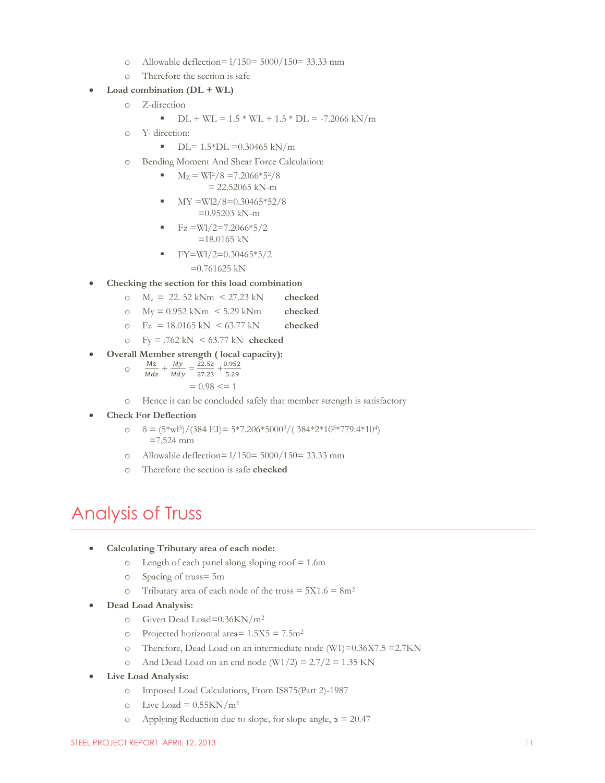- o Allowable deflection= l/150= 5000/150= 33.33 mm
- o Therefore the section is safe

#### **Load combination (DL + WL)**

o Z-direction

■ 
$$
DL + WL = 1.5 * WL + 1.5 * DL = -7.2066 kN/m
$$

o Y- direction:

 $\blacksquare$  DL= 1.5\*DL =0.30465 kN/m

- o Bending Moment And Shear Force Calculation:
	- $M_Z = W12/8 = 7.2066*52/8$  $= 22.52065$  kN-m
	- MY =Wl2/8=0.30465\*52/8 =0.95203 kN-m

$$
F_Z = W1/2 = 7.2066*5/2
$$
  
= 18.0165 kN

FY=Wl/2=0.30465\*5/2

#### $=0.761625$  kN

- **Checking the section for this load combination**
	- o Mz = 22. 52 kNm < 27.23 kN **checked**
	- o My = 0.952 kNm < 5.29 kNm **checked**
	- o Fz = 18.0165 kN < 63.77 kN **checked**
	- o Fy = .762 kN < 63.77 kN **checked**
- **Overall Member strength ( local capacity):**
	- o Mz  $\frac{Mz}{Mdz} + \frac{My}{Mdy}$  $\frac{My}{Mdy} = \frac{2}{2}$  $\frac{22.52}{27.23} + \frac{0.95}{5.29}$ 5.29  $= 0.98 \leq 1$
	- o Hence it can be concluded safely that member strength is satisfactory
- **Check For Deflection**
	- $\delta = \frac{(5 \cdot \text{w13})}{(384 \text{ E1})} = 5 \cdot 7.206 \cdot 5000 \cdot 3 / (384 \cdot 2 \cdot 10 \cdot 5 \cdot 779.4 \cdot 10 \cdot 1)$  $=7.524$  mm
	- o Allowable deflection= l/150= 5000/150= 33.33 mm
	- o Therefore the section is safe **checked**

### <span id="page-11-0"></span>Analysis of Truss

- **Calculating Tributary area of each node:**
	- o Length of each panel along sloping roof = 1.6m
	- o Spacing of truss= 5m
	- o Tributary area of each node of the truss  $= 5X1.6 = 8m^2$
- **Dead Load Analysis:**
	- o Given Dead Load=0.36KN/m<sup>2</sup>
	- o Projected horizontal area=  $1.5X5 = 7.5m^2$
	- o Therefore, Dead Load on an intermediate node (W1)=0.36X7.5 =2.7KN
	- o And Dead Load on an end node  $(W1/2) = 2.7/2 = 1.35$  KN
- **Live Load Analysis:**
	- o Imposed Load Calculations, From IS875(Part 2)-1987
	- o Live Load =  $0.55$ KN/m<sup>2</sup>
	- o Applying Reduction due to slope, for slope angle,  $\alpha = 20.47$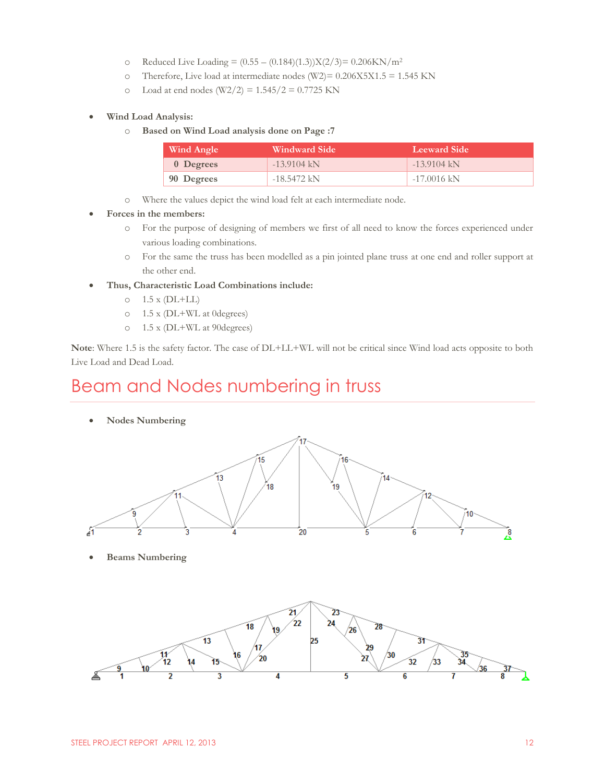- o Reduced Live Loading =  $(0.55 (0.184)(1.3))X(2/3) = 0.206KN/m^2$
- o Therefore, Live load at intermediate nodes (W2)= 0.206X5X1.5 = 1.545 KN
- $\degree$  Load at end nodes (W2/2) = 1.545/2 = 0.7725 KN
- **Wind Load Analysis:**
	- o **Based on Wind Load analysis done on Page :7**

| Wind Angle | <b>Windward Side</b> | Leeward Side  |  |  |
|------------|----------------------|---------------|--|--|
| 0 Degrees  | $-13.9104$ kN        | $-13.9104$ kN |  |  |
| 90 Degrees | $-18.5472$ kN        | $-17.0016$ kN |  |  |

- o Where the values depict the wind load felt at each intermediate node.
- **Forces in the members:** 
	- o For the purpose of designing of members we first of all need to know the forces experienced under various loading combinations.
	- o For the same the truss has been modelled as a pin jointed plane truss at one end and roller support at the other end.
- **Thus, Characteristic Load Combinations include:**
	- $\circ$  1.5 x (DL+LL)
	- o 1.5 x (DL+WL at 0degrees)
	- o 1.5 x (DL+WL at 90degrees)

**Note**: Where 1.5 is the safety factor. The case of DL+LL+WL will not be critical since Wind load acts opposite to both Live Load and Dead Load.

### <span id="page-12-0"></span>Beam and Nodes numbering in truss

**Nodes Numbering**



**Beams Numbering**

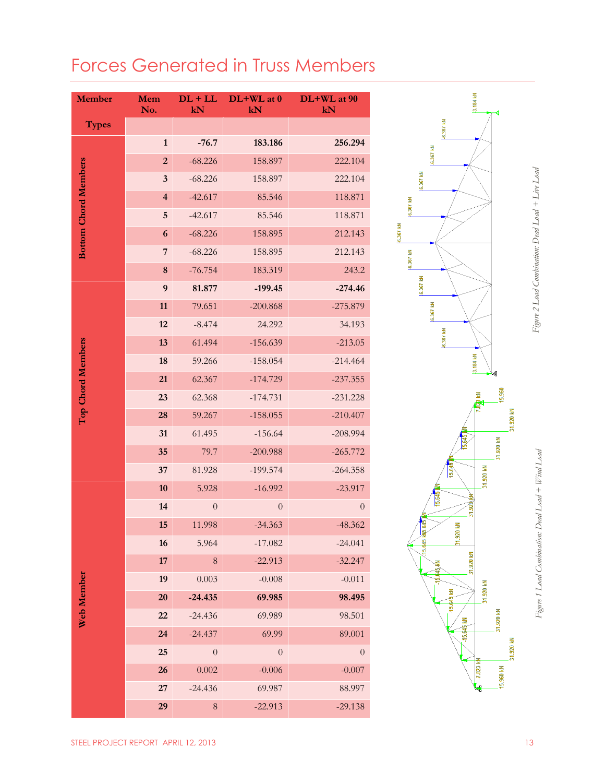### <span id="page-13-0"></span>Forces Generated in Truss Members

| <b>Member</b>               | Mem<br>No.              | $DL + LL$<br>kN  | DL+WL at 0<br>kN | DL+WL at 90<br>kN |
|-----------------------------|-------------------------|------------------|------------------|-------------------|
| <b>Types</b>                |                         |                  |                  |                   |
|                             | $\mathbf{1}$            | $-76.7$          | 183.186          | 256.294           |
|                             | $\overline{2}$          | $-68.226$        | 158.897          | 222.104           |
|                             | 3                       | $-68.226$        | 158.897          | 222.104           |
|                             | $\overline{\mathbf{4}}$ | $-42.617$        | 85.546           | 118.871           |
| <b>Bottom Chord Members</b> | 5                       | $-42.617$        | 85.546           | 118.871           |
|                             | 6                       | $-68.226$        | 158.895          | 212.143           |
|                             | 7                       | $-68.226$        | 158.895          | 212.143           |
|                             | 8                       | $-76.754$        | 183.319          | 243.2             |
|                             | $\boldsymbol{9}$        | 81.877           | $-199.45$        | $-274.46$         |
|                             | 11                      | 79.651           | $-200.868$       | $-275.879$        |
|                             | 12                      | $-8.474$         | 24.292           | 34.193            |
| Top Chord Members           | 13                      | 61.494           | $-156.639$       | $-213.05$         |
|                             | 18                      | 59.266           | $-158.054$       | $-214.464$        |
|                             | 21                      | 62.367           | $-174.729$       | $-237.355$        |
|                             | 23                      | 62.368           | $-174.731$       | $-231.228$        |
|                             | 28                      | 59.267           | $-158.055$       | $-210.407$        |
|                             | 31                      | 61.495           | $-156.64$        | $-208.994$        |
|                             | 35                      | 79.7             | $-200.988$       | $-265.772$        |
|                             | 37                      | 81.928           | $-199.574$       | $-264.358$        |
|                             | 10                      | 5.928            | $-16.992$        | $-23.917$         |
|                             | 14                      | $\boldsymbol{0}$ | $\boldsymbol{0}$ | $\overline{0}$    |
|                             | 15                      | 11.998           | $-34.363$        | $-48.362$         |
|                             | 16                      | 5.964            | $-17.082$        | $-24.041$         |
|                             | 17                      | $\,$ $\,$        | $-22.913$        | $-32.247$         |
|                             | 19                      | 0.003            | $-0.008$         | $-0.011$          |
| Web Member                  | 20                      | $-24.435$        | 69.985           | 98.495            |
|                             | 22                      | $-24.436$        | 69.989           | 98.501            |
|                             | 24                      | $-24.437$        | 69.99            | 89.001            |
|                             | 25                      | $\boldsymbol{0}$ | $\boldsymbol{0}$ | $\boldsymbol{0}$  |
|                             | 26                      | 0.002            | $-0.006$         | $-0.007$          |
|                             | 27                      | $-24.436$        | 69.987           | 88.997            |
|                             | 29                      | $\,8\,$          | $-22.913$        | $-29.138$         |

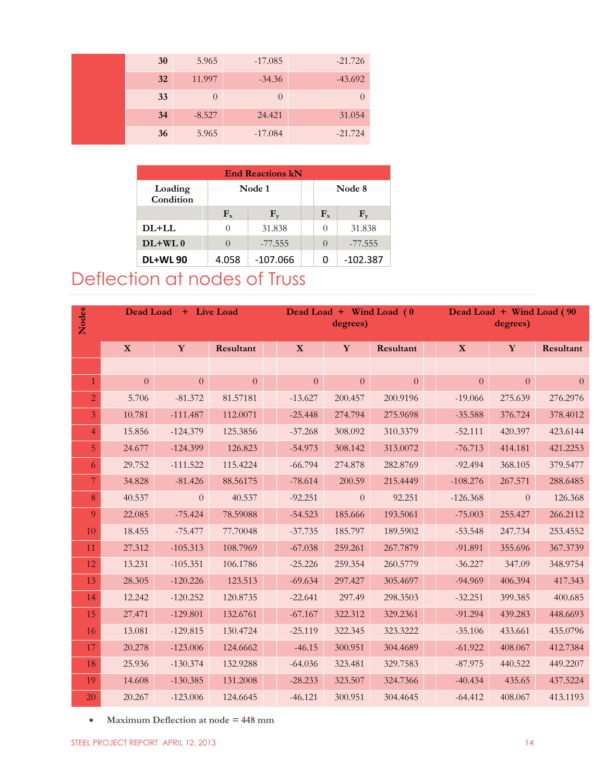| 30 | 5.965    | $-17.085$ | $-21.726$ |
|----|----------|-----------|-----------|
| 32 | 11.997   | $-34.36$  | $-43.692$ |
| 33 | $\theta$ | $\theta$  |           |
| 34 | $-8.527$ | 24.421    | 31.054    |
| 36 | 5.965    | $-17.084$ | $-21.724$ |

| <b>End Reactions kN</b> |                  |            |  |                  |            |  |  |  |
|-------------------------|------------------|------------|--|------------------|------------|--|--|--|
| Loading<br>Condition    | Node 1           |            |  |                  | Node 8     |  |  |  |
|                         | $F_{x}$<br>$F_v$ |            |  | $F_{x}$          | $F_v$      |  |  |  |
| $DI+LI.$                | 0                | 31.838     |  | $\Omega$         | 31.838     |  |  |  |
| $DL+WL$ <sub>0</sub>    |                  | $-77.555$  |  | $\left( \right)$ | $-77.555$  |  |  |  |
| <b>DL+WL 90</b>         | 4.058            | $-107.066$ |  | O                | $-102.387$ |  |  |  |

### <span id="page-14-0"></span>Deflection at nodes of Truss

| <b>Nodes</b>   | <b>Dead Load</b> |                | + Live Load |           | Dead Load + Wind Load (0)<br>degrees) |           |            | Dead Load + Wind Load (90<br>degrees) |                |
|----------------|------------------|----------------|-------------|-----------|---------------------------------------|-----------|------------|---------------------------------------|----------------|
|                | $\mathbf{X}$     | Y              | Resultant   | X         | Y                                     | Resultant | X          | Y                                     | Resultant      |
|                |                  |                |             |           |                                       |           |            |                                       |                |
| $\mathbf{1}$   | $\theta$         | $\Omega$       | $\Omega$    | $\Omega$  | $\Omega$                              | $\Omega$  | $\Omega$   | $\Omega$                              | $\overline{0}$ |
| $\overline{2}$ | 5.706            | $-81.372$      | 81.57181    | $-13.627$ | 200.457                               | 200.9196  | $-19.066$  | 275.639                               | 276.2976       |
| $\overline{3}$ | 10.781           | $-111.487$     | 112.0071    | $-25.448$ | 274.794                               | 275.9698  | $-35.588$  | 376.724                               | 378.4012       |
| $\overline{4}$ | 15.856           | $-124.379$     | 125.3856    | $-37.268$ | 308.092                               | 310.3379  | $-52.111$  | 420.397                               | 423.6144       |
| 5              | 24.677           | $-124.399$     | 126.823     | $-54.973$ | 308.142                               | 313.0072  | $-76.713$  | 414.181                               | 421.2253       |
| 6              | 29.752           | $-111.522$     | 115.4224    | $-66.794$ | 274.878                               | 282.8769  | $-92.494$  | 368.105                               | 379.5477       |
| 7              | 34.828           | $-81.426$      | 88.56175    | $-78.614$ | 200.59                                | 215.4449  | $-108.276$ | 267.571                               | 288.6485       |
| 8              | 40.537           | $\overline{0}$ | 40.537      | $-92.251$ | $\overline{0}$                        | 92.251    | $-126.368$ | $\overline{0}$                        | 126.368        |
| 9              | 22.085           | $-75.424$      | 78.59088    | $-54.523$ | 185.666                               | 193.5061  | $-75.003$  | 255.427                               | 266.2112       |
| 10             | 18.455           | $-75.477$      | 77.70048    | $-37.735$ | 185.797                               | 189.5902  | $-53.548$  | 247.734                               | 253.4552       |
| 11             | 27.312           | $-105.313$     | 108.7969    | $-67.038$ | 259.261                               | 267.7879  | $-91.891$  | 355.696                               | 367.3739       |
| 12             | 13.231           | $-105.351$     | 106.1786    | $-25.226$ | 259.354                               | 260.5779  | $-36.227$  | 347.09                                | 348.9754       |
| 13             | 28.305           | $-120.226$     | 123.513     | $-69.634$ | 297.427                               | 305.4697  | $-94.969$  | 406.394                               | 417.343        |
| 14             | 12.242           | $-120.252$     | 120.8735    | $-22.641$ | 297.49                                | 298.3503  | $-32.251$  | 399.385                               | 400.685        |
| 15             | 27.471           | $-129.801$     | 132.6761    | $-67.167$ | 322.312                               | 329.2361  | $-91.294$  | 439.283                               | 448.6693       |
| 16             | 13.081           | $-129.815$     | 130.4724    | $-25.119$ | 322.345                               | 323.3222  | $-35.106$  | 433.661                               | 435.0796       |
| 17             | 20.278           | $-123.006$     | 124.6662    | $-46.15$  | 300.951                               | 304.4689  | $-61.922$  | 408.067                               | 412.7384       |
| 18             | 25.936           | $-130.374$     | 132.9288    | $-64.036$ | 323.481                               | 329.7583  | $-87.975$  | 440.522                               | 449.2207       |
| 19             | 14.608           | $-130.385$     | 131.2008    | $-28.233$ | 323.507                               | 324.7366  | $-40.434$  | 435.65                                | 437.5224       |
| 20             | 20.267           | $-123.006$     | 124.6645    | $-46.121$ | 300.951                               | 304.4645  | $-64.412$  | 408.067                               | 413.1193       |

**Maximum Deflection at node = 448 mm**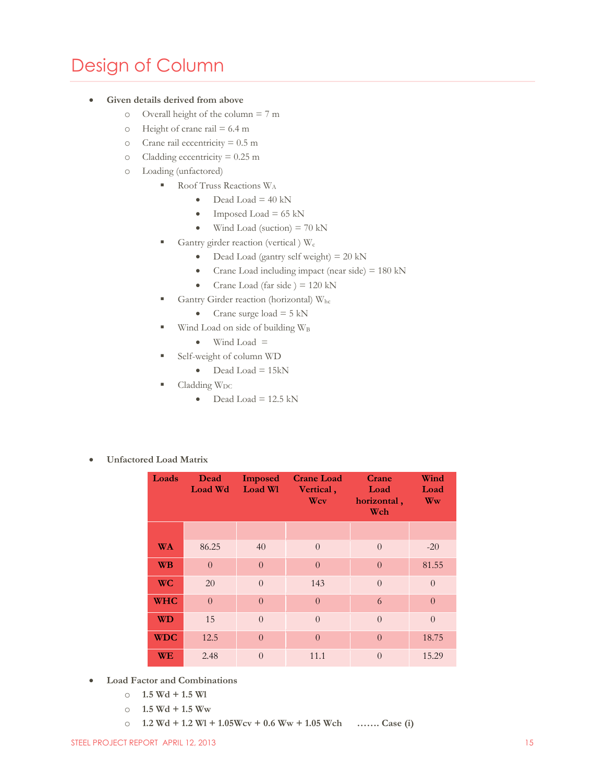### <span id="page-15-0"></span>Design of Column

#### **Given details derived from above**

- o Overall height of the column = 7 m
- $\circ$  Height of crane rail = 6.4 m
- o Crane rail eccentricity = 0.5 m
- $\text{o}$  Cladding eccentricity = 0.25 m
- o Loading (unfactored)
	- Roof Truss Reactions W<sub>A</sub>
		- $\bullet$  Dead Load = 40 kN
		- Imposed Load =  $65 \text{ kN}$
		- $\bullet$  Wind Load (suction) = 70 kN
	- Gantry girder reaction (vertical )  $W_c$ 
		- $\bullet$  Dead Load (gantry self weight) = 20 kN
		- Crane Load including impact (near side)  $= 180 \text{ kN}$
		- Crane Load (far side )  $= 120 \text{ kN}$
	- Gantry Girder reaction (horizontal) Whc
		- Crane surge load  $= 5$  kN
	- $\blacksquare$  Wind Load on side of building W<sub>B</sub>
		- $\bullet$  Wind Load =
	- Self-weight of column WD
		- $\bullet$  Dead Load = 15kN
	- $C$ ladding  $W_{DC}$ 
		- $\bullet$  Dead Load = 12.5 kN
- **Unfactored Load Matrix**

| Loads      | Dead<br><b>Load Wd</b> | <b>Imposed</b><br>Load Wl | <b>Crane Load</b><br>Vertical,<br>Wcv | Crane<br>Load<br>horizontal,<br>Wch | Wind<br>Load<br>Ww |
|------------|------------------------|---------------------------|---------------------------------------|-------------------------------------|--------------------|
|            |                        |                           |                                       |                                     |                    |
| <b>WA</b>  | 86.25                  | 40                        | $\theta$                              | $\overline{0}$                      | $-20$              |
| <b>WB</b>  | $\theta$               | $\Omega$                  | $\Omega$                              | $\theta$                            | 81.55              |
| <b>WC</b>  | 20                     | $\Omega$                  | 143                                   | $\overline{0}$                      | $\Omega$           |
| <b>WHC</b> | $\theta$               | $\Omega$                  | $\Omega$                              | 6                                   | $\Omega$           |
| <b>WD</b>  | 15                     | $\Omega$                  | $\overline{0}$                        | $\overline{0}$                      | $\Omega$           |
| <b>WDC</b> | 12.5                   | $\overline{0}$            | $\Omega$                              | $\overline{0}$                      | 18.75              |
| <b>WE</b>  | 2.48                   | $\theta$                  | 11.1                                  | $\theta$                            | 15.29              |

- **Load Factor and Combinations**
	- o **1.5 Wd + 1.5 Wl**
	- $\degree$  **1.5 Wd + 1.5 Ww**
	- o **1.2 Wd + 1.2 Wl + 1.05Wcv + 0.6 Ww + 1.05 Wch ……. Case (i)**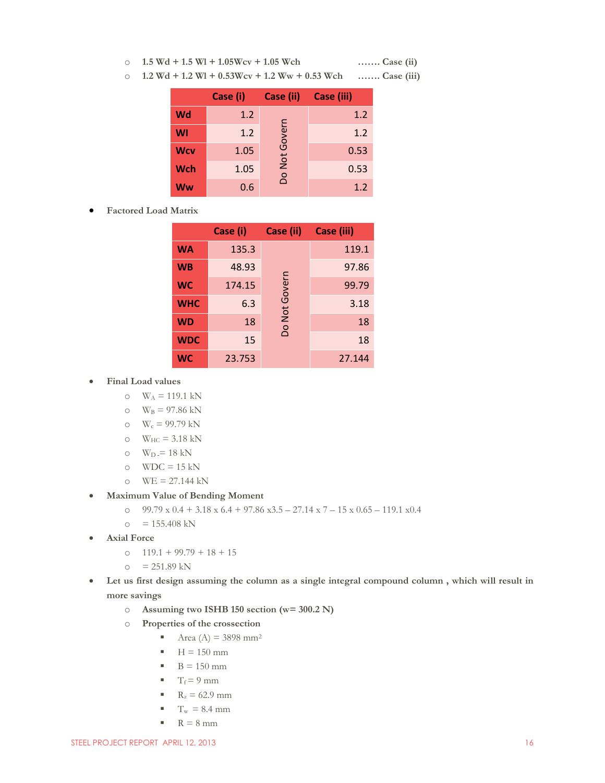o **1.5 Wd + 1.5 Wl + 1.05Wcv + 1.05 Wch ……. Case (ii)**

o **1.2 Wd + 1.2 Wl + 0.53Wcv + 1.2 Ww + 0.53 Wch ……. Case (iii)**

|            | Case (i) | Case (ii) | Case (iii) |
|------------|----------|-----------|------------|
| Wd         | 1.2      |           | 1.2        |
| WI         | 1.2      | Govern    | 1.2        |
| <b>Wcv</b> | 1.05     |           | 0.53       |
| <b>Wch</b> | 1.05     | Do Not    | 0.53       |
| Ww         | 0.6      |           | 1.2        |

**Factored Load Matrix**

|            | Case (i) | Case (ii)     | Case (iii) |
|------------|----------|---------------|------------|
| <b>WA</b>  | 135.3    |               | 119.1      |
| <b>WB</b>  | 48.93    |               | 97.86      |
| WC         | 174.15   | Do Not Govern | 99.79      |
| <b>WHC</b> | 6.3      |               | 3.18       |
| <b>WD</b>  | 18       |               | 18         |
| <b>WDC</b> | 15       |               | 18         |
| WC         | 23.753   |               | 27.144     |

- **Final Load values**
	- $\text{o}$  W<sub>A</sub> = 119.1 kN
	- o  $W_B = 97.86$  kN
	- o  $W_c = 99.79$  kN
	- $\text{o} \quad W_{\text{HC}} = 3.18 \text{ kN}$
	- $\text{o}$  W<sub>D</sub> = 18 kN
	- $\circ$  WDC = 15 kN
	- $\text{o}$  WE = 27.144 kN
- **Maximum Value of Bending Moment**
	- o  $99.79 \times 0.4 + 3.18 \times 6.4 + 97.86 \times 3.5 27.14 \times 7 15 \times 0.65 119.1 \times 0.4$
	- $\circ$  = 155.408 kN
- **Axial Force**
	- o 119.1 + 99.79 + 18 + 15
	- $\circ$  = 251.89 kN
- **Let us first design assuming the column as a single integral compound column , which will result in more savings**
	- o **Assuming two ISHB 150 section (w= 300.2 N)**
	- o **Properties of the crossection**
		- Area (A) =  $3898 \text{ mm}^2$
		- $H = 150$  mm
		- $\blacksquare$  B = 150 mm
		- $T_f = 9$  mm
		- $R_z = 62.9$  mm
		- $T_w = 8.4$  mm
		- $R = 8$  mm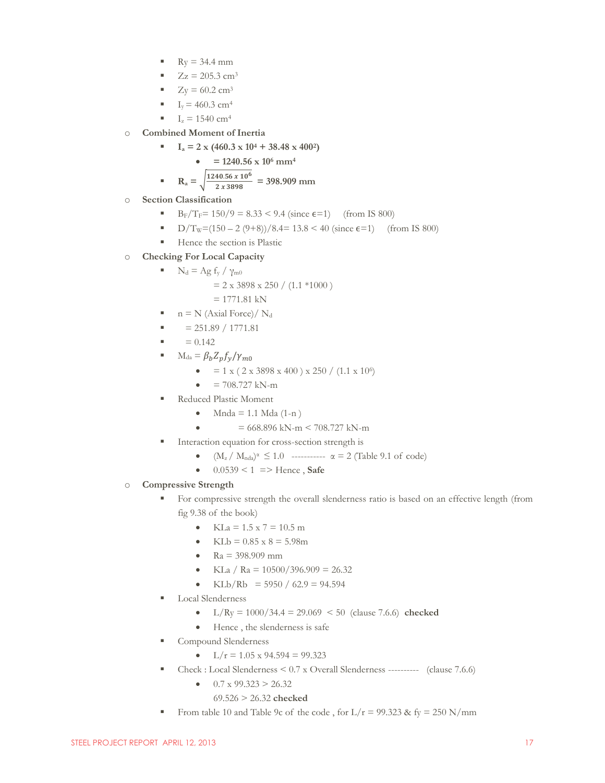- $Ry = 34.4$  mm
- $Zz = 205.3$  cm<sup>3</sup>
- $Z_V = 60.2$  cm<sup>3</sup>
- $I_v = 460.3$  cm<sup>4</sup>
- $I_z = 1540$  cm<sup>4</sup>
- o **Combined Moment of Inertia**
	- $I<sub>a</sub> = 2 \times (460.3 \times 10^4 + 38.48 \times 400^2)$

$$
\bullet = 1240.56 \times 10^6 \text{ mm}^4
$$

$$
R_a = \sqrt{\frac{1240.56 \times 10^6}{2 \times 3898}} = 398.909 \text{ mm}
$$

- o **Section Classification**
	- B<sub>F</sub>/T<sub>F</sub>=  $150/9 = 8.33 < 9.4$  (since  $\epsilon$ =1) (from IS 800)
	- D/T<sub>W</sub>=(150 2 (9+8))/8.4= 13.8 < 40 (since  $\epsilon$ =1) (from IS 800)
	- Hence the section is Plastic
- o **Checking For Local Capacity**
	- $\blacksquare$  N<sub>d</sub> = Ag f<sub>y</sub> /  $\gamma_{m0}$ 
		- $= 2 \times 3898 \times 250 / (1.1 * 1000)$
		- $= 1771.81$  kN
	- $n = N$  (Axial Force)/  $N_d$
	- $= 251.89 / 1771.81$
	- $= 0.142$
	- $M_{da} = \beta_b Z_p f_v / \gamma_{m0}$ 
		- $= 1 \times (2 \times 3898 \times 400) \times 250 / (1.1 \times 10^6)$
		- $= 708.727$  kN-m
	- Reduced Plastic Moment
		- Mnda = 1.1 Mda  $(1-n)$
		- $= 668.896 \text{ kN-m} < 708.727 \text{ kN-m}$
	- Interaction equation for cross-section strength is
		- $(M_z / M_{nda})^{\alpha} \leq 1.0$  -----------  $\alpha = 2$  (Table 9.1 of code)
		- $0.0539 < 1 \implies$  Hence, **Safe**

#### o **Compressive Strength**

- For compressive strength the overall slenderness ratio is based on an effective length (from fig 9.38 of the book)
	- $KLa = 1.5 \times 7 = 10.5 \text{ m}$
	- $KLh = 0.85 \times 8 = 5.98$ m
	- $Ra = 398.909$  mm
	- KLa / Ra =  $10500/396.909 = 26.32$
	- KLb/Rb =  $5950 / 62.9 = 94.594$
- Local Slenderness
	- $L/Ry = 1000/34.4 = 29.069 < 50$  (clause 7.6.6) **checked**
	- Hence , the slenderness is safe
- Compound Slenderness
	- $L/r = 1.05 \times 94.594 = 99.323$
- Check : Local Slenderness < 0.7 x Overall Slenderness ---------- (clause 7.6.6)
	- $\bullet$  0.7 x 99.323 > 26.32
		- 69.526 > 26.32 **checked**
- From table 10 and Table 9c of the code, for  $L/r = 99.323$  & fy = 250 N/mm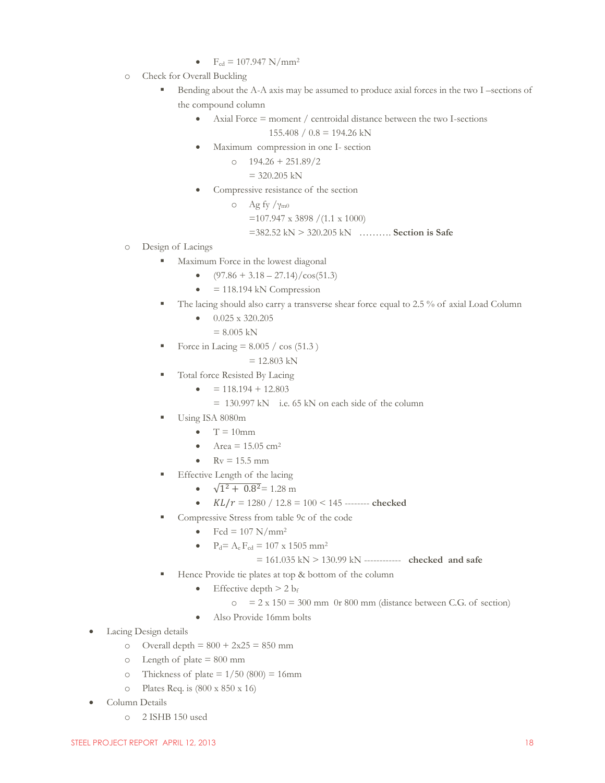- $F_{cd} = 107.947 \text{ N/mm}^2$
- o Check for Overall Buckling
	- Bending about the A-A axis may be assumed to produce axial forces in the two I –sections of the compound column
		- Axial Force = moment / centroidal distance between the two I-sections

 $155.408 / 0.8 = 194.26$  kN

- Maximum compression in one I- section
	- $\degree$  194.26 + 251.89/2
		- $= 320.205$  kN
- Compressive resistance of the section
	- o Ag fy /γm0 =107.947 x 3898 /(1.1 x 1000) =382.52 kN > 320.205 kN ………. **Section is Safe**
- o Design of Lacings
	- Maximum Force in the lowest diagonal
		- $\bullet$  (97.86 + 3.18 27.14)/cos(51.3)
		- $= 118.194$  kN Compression
	- The lacing should also carry a transverse shear force equal to 2.5 % of axial Load Column
		- $\bullet$  0.025 x 320.205
			- $= 8.005$  kN
	- Force in Lacing  $= 8.005 / \cos(51.3)$ 
		- $= 12.803$  kN
	- Total force Resisted By Lacing
		- $= 118.194 + 12.803$ 
			- = 130.997 kN i.e. 65 kN on each side of the column
	- Using ISA 8080m
		- $T = 10$ mm
		- Area =  $15.05$  cm<sup>2</sup>
		- $\mathbb{R}v = 15.5$  mm
	- Effective Length of the lacing
		- $\sqrt{1^2 + 0.8^2} = 1.28$  m
		- $KL/r = 1280 / 12.8 = 100 < 145$  -------- **checked**
	- Compressive Stress from table 9c of the code
		- $\bullet$  Fcd = 107 N/mm<sup>2</sup>
		- $P_d = A_e F_{cd} = 107 \times 1505 \text{ mm}^2$

= 161.035 kN > 130.99 kN ------------ **checked and safe**

- Hence Provide tie plates at top & bottom of the column
	- Effective depth  $> 2 b_f$ 
		- $\sigma$  = 2 x 150 = 300 mm 0r 800 mm (distance between C.G. of section)
	- Also Provide 16mm bolts
- Lacing Design details
	- o Overall depth =  $800 + 2x25 = 850$  mm
	- $\circ$  Length of plate = 800 mm
	- o Thickness of plate  $= 1/50 (800) = 16$ mm
	- $\degree$  Plates Req. is  $(800 \times 850 \times 16)$
- Column Details
	- o 2 ISHB 150 used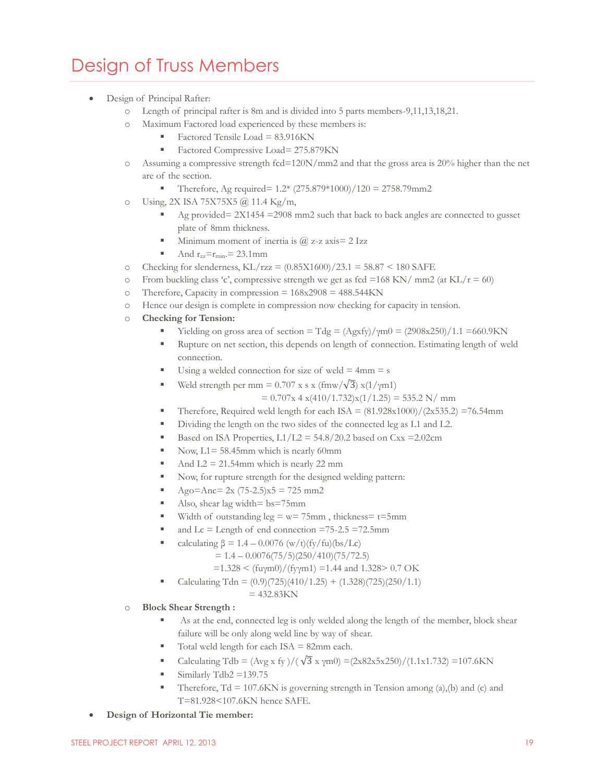### <span id="page-19-0"></span>Design of Truss Members

- Design of Principal Rafter:
	- o Length of principal rafter is 8m and is divided into 5 parts members-9,11,13,18,21.
	- o Maximum Factored load experienced by these members is:
		- Factored Tensile Load =  $83.916$ KN
		- Factored Compressive Load= 275.879KN
	- $\circ$  Assuming a compressive strength fcd=120N/mm2 and that the gross area is 20% higher than the net are of the section.
		- Therefore, Ag required=  $1.2*(275.879*1000)/120 = 2758.79$ mm2
	- o Using, 2X ISA 75X75X5 @ 11.4 Kg/m,
		- Ag provided= 2X1454 =2908 mm2 such that back to back angles are connected to gusset plate of 8mm thickness.
		- Minimum moment of inertia is  $\omega$  z-z axis= 2 Izz
		- And  $r_{zz}=r_{min}=23.1$  mm
	- o Checking for slenderness,  $KL/rzz = (0.85X1600)/23.1 = 58.87 < 180$  SAFE
	- $\circ$  From buckling class 'c', compressive strength we get as fcd =168 KN/ mm2 (at KL/r = 60)
	- o Therefore, Capacity in compression =  $168x2908 = 488.544$ KN
	- o Hence our design is complete in compression now checking for capacity in tension.
	- o **Checking for Tension:**
		- $\blacksquare$  Yielding on gross area of section = Tdg = (Agxfy)/ $\gamma$ m0 = (2908x250)/1.1 = 660.9KN
		- Rupture on net section, this depends on length of connection. Estimating length of weld connection.
		- Using a welded connection for size of weld  $= 4$ mm  $= s$
		- Weld strength per mm =  $0.707$  x s x (fmw/ $\sqrt{3}$ ) x(1/ $\gamma$ m1)

 $= 0.707x 4 x(410/1.732)x(1/1.25) = 535.2 N/mm$ 

- Therefore, Required weld length for each ISA =  $(81.928 \times 1000)/(2 \times 535.2) = 76.54$ mm
- Dividing the length on the two sides of the connected leg as L1 and L2.
- Based on ISA Properties,  $L1/L2 = 54.8/20.2$  based on Cxx = 2.02cm
- Now,  $L1 = 58.45$ mm which is nearly 60mm
- And  $L2 = 21.54$ mm which is nearly 22 mm
- Now, for rupture strength for the designed welding pattern:
- Ago=Anc=  $2x (75-2.5)x5 = 725 mm2$
- Also, shear lag width =  $bs = 75$ mm
- Width of outstanding  $leg = w = 75$ mm, thickness= t=5mm
- and  $Lc =$  Length of end connection =75-2.5 =72.5mm
- calculating  $\beta = 1.4 0.0076 \frac{w}{t}f(y/fu)(bs/Lc)$ 
	- $= 1.4 0.0076(75/5)(250/410)(75/72.5)$
	- $=1.328 < (fuym0)/(fyym1) = 1.44$  and 1.328> 0.7 OK
- Calculating Tdn =  $(0.9)(725)(410/1.25) + (1.328)(725)(250/1.1)$

 $= 432.83KN$ 

#### o **Block Shear Strength :**

- As at the end, connected leg is only welded along the length of the member, block shear failure will be only along weld line by way of shear.
- Total weld length for each ISA = 82mm each.
- Calculating Tdb =  $(\text{Avg x fy})/(\sqrt{3} \text{ x ym0}) = (2 \text{ x} 82 \text{ x} 5 \text{ x} 250)/(1.1 \text{ x} 1.732) = 107.6 \text{KN}$
- Similarly Tdb2 =139.75
- Therefore,  $Td = 107.6KN$  is governing strength in Tension among  $(a)$ ,  $(b)$  and  $(c)$  and T=81.928<107.6KN hence SAFE.
- **Design of Horizontal Tie member:**